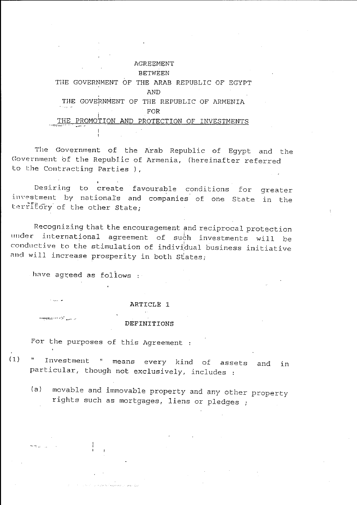### **AGREEMENT**

### **BETWEEN**

THE GOVERNMENT OF THE ARAB REPUBLIC OF EGYPT **AND** THE GOVERNMENT OF THE REPUBLIC OF ARMENIA FOR THE PROMOTION AND PROTECTION OF INVESTMENTS

The Government of the Arab Republic of Egypt and the Government of the Republic of Armenia, (hereinafter referred to the Contracting Parties ),

Desiring to create favourable conditions for greater investment by nationals and companies of one State in the territory of the other State;

Recognizing that the encouragement and reciprocal protection under international agreement of such investments will be conductive to the stimulation of individual business initiative and will increase prosperity in both States;

have agreed as follows:

### ARTICLE 1

### DEFINITIONS

For the purposes of this Agreement :

Investment " means every kind of assets and in  $(1)$  $\mathbf{H}_{\mathrm{max}}$ particular, though not exclusively, includes :

movable and immovable property and any other property  $(a)$ rights such as mortgages, liens or pledges ;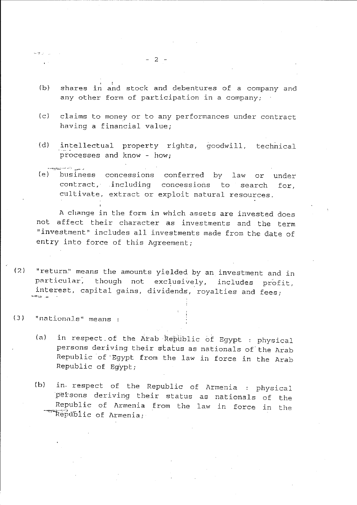- (b) shares in and stock and debentures of a company and any other form of participation in a company;
- (c) claims to money or to any performances under contract having a financial value;
- (d) intellectual property rights, goodwill, technical processes and know - how;
- (el business concessions conferred by law or under contract, including concessions to search for, cultivate, extract or exploit natural resources.

A change in the form in which assets are invested does not affect their character as investments and the term "investment" includes all investments made from the date of entry into force of this Agreement;

(?) "return" means the amounts yielded by an investment and in particular, though not exclusively, includes profit, interest, capital gains, dividends, royalties and fees;  $\star$  .

### (3) "nationals" means:

ka shu

- (a) in respect of the Arab Republic of Egypt : physical persons deriving their status as nationals of'the Arab Republic of 'Egypt from the law in force in the Arab Republic of Egypt;
- (b) in, respect of the Republic of Armenia : physical persons deriving their status as nationals of the Republic of Armenia from the law in force in the Republic of Armenia;

 $- 2 -$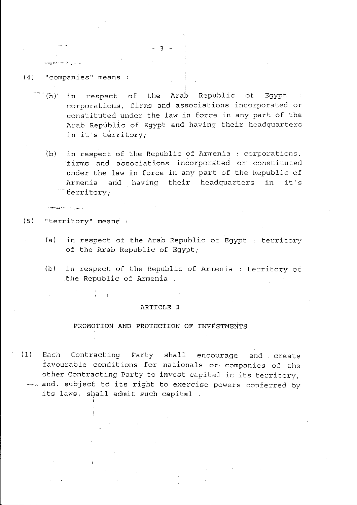### (4) "companies" means

**COMMERCIAL CARDS** 

- $\tilde{a}$  (a) in respect of the Arab Republic of Egypt : corporations, firms and associations incorporated or constituted under the law in force in any part of the Arab Republic of Egypt and having their headquarters in it's territory;
	- (b) in respect of the Republic of Armenia : corporations, 'firms and associations incorporated or constituted under the law in force in any part of the Republic of Armenia and having their headquarters in it's . territory;
- (5) "territory" means :

 $\overline{1}$ 

*Comment of Comment Comment Comment* 

- (a) in respect of the Arab Republic of Egypt territory of the Arab Republic of Egypt;
- (b) in respect of the Republic of Armenia : territory of .the Republic of Armenia.

### ARTICLE 2

### PROMOTION AND PROTECTION OF INVESTMENTS

(1) Each Contracting Party shall encourage and create favourable conditions for nationals or companies of the other Contracting Party to invest capital in its territory,  $-$ . and, subject to its right to exercise powers conferred by its laws, shall admit such capital .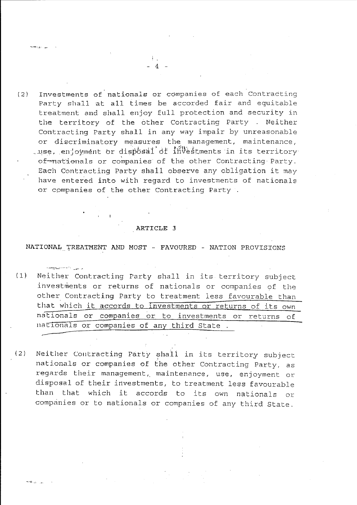Investments of nationals or companies of each Contracting  $(2)$ Party shall at all times be accorded fair and equitable treatment and shall enjoy full protection and security in the territory of the other Contracting Party . Neither Contracting Party shall in any way impair by unreasonable or discriminatory measures the management, maintenance, tuse, enjoyment or disposal of investments in its territory of mationals or companies of the other Contracting Party. Each Contracting Party shall observe any obligation it may have entered into with regard to investments of nationals or companies of the other Contracting Party .

### ARTICLE 3

### NATIONAL TREATMENT AND MOST - FAVOURED - NATION PROVISIONS

الرابيي الصحصة فيهومهم

- $(1)$ Neither Contracting Party shall in its territory subject investments or returns of nationals or companies of the other Contracting Party to treatment less favourable than that which it accords to investments or returns of its own nationals or companies or to investments or returns of nationals or companies of any third State.
- Neither Contracting Party shall in its territory subject  $(2)$ nationals or companies of the other Contracting Party, as regards their management, maintenance, use, enjoyment or disposal of their investments, to treatment less favourable than that which it accords to its own nationals or companies or to nationals or companies of any third State.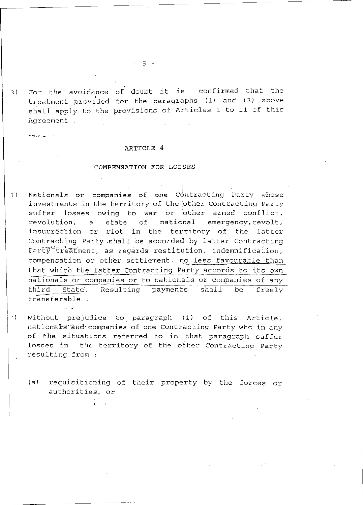1) For the avoidance of doubt it is confirmed that the<br>treatment provided for the paragraphs (1) and (2) above shall apply to the provisions of Articles 1 to 11 of this Agreement For the avoidance of doubt it is confirmed that the

-'~ .. :" ,-

### ARTICLE 4

### COMPENSATION FOR LOSSES

- 1) Nationals or companies of one Contracting Party whose investments in the territory of the other Contracting Party suffer losses owing to war or other armed conflict, revolution, a state of national emergency, revolt, insurrection or riot in the territory of the latter Contracting Party ,shall be accorded by latter contracting Party treatment, as regards restitution, indemnification, compensation or other settlement, no less favourable than that which the latter contracting Party accords to its own nationals.or companies or to nationals or companies of any third State. Resulting payments shall be freely transferable .
- ') Without prejudice to paragraph (1) of this Article, nationals and companies of one Contracting Party who in any of the situations referred to in that 'paragraph suffer losses in the territory of the other Contracting Party resulting from :
	- (a) requisitioning of their property by the forces or authorities, or

 $-15 -$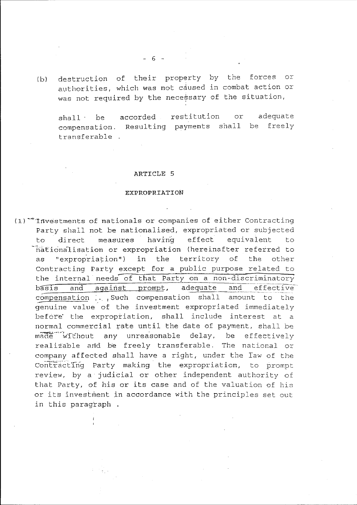destruction of their property by the forces or  $(b)$ authorities, which was not caused in combat action or was not required by the necessary of the situation,

restitution adequate or  $shal1$ be accorded compensation. Resulting payments shall be freely transferable.

### ARTICLE 5

### **EXPROPRIATION**

 $(1)$  Investments of nationals or companies of either Contracting Party shall not be nationalised, expropriated or subjected having effect equivalent direct measures t.o.  $to$ nationalisation or expropriation (hereinafter referred to "expropriation") in the territory of the as other Contracting Party except for a public purpose related to the internal needs of that Party on a non-discriminatory adequate and effective basis and against prompt, compensation . Such compensation shall amount to the genuine value of the investment expropriated immediately before the expropriation, shall include interest at a normal commercial rate until the date of payment, shall be made without any unreasonable delay, be effectively realizable and be freely transferable. The national or company affected shall have a right, under the law of the Contracting Party making the expropriation, to prompt review, by a judicial or other independent authority of that Party, of his or its case and of the valuation of his or its investment in accordance with the principles set out in this paragraph.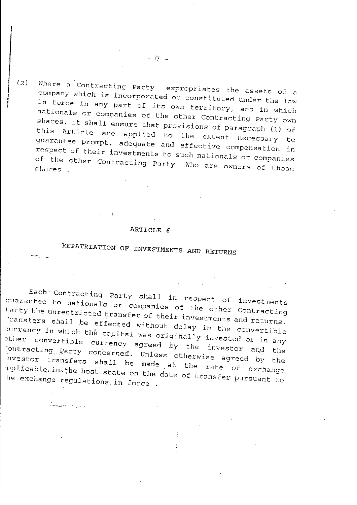Where a Contracting Party expropriates the assets of a company which is incorporated or constituted under the law in force in any part of its own territory, and in which nationals or companies of the other Contracting Party own shares, it shall ensure that provisions of paragraph (1) of this Article are applied to the extent necessary to guarantee prompt, adequate and effective compensation in respect of their investments to such nationals or companies of the other Contracting Party. Who are owners of those shares .

### ARTICLE 6

# REPATRIATION OF INVESTMENTS AND RETURNS

Each Contracting Party shall in respect of investments quarantee to nationals or companies of the other Contracting Party the unrestricted transfer of their investments and returns. I'ransfers shall be effected without delay in the convertible ~urrency in which the capital was originally invested or in any other convertible currency agreed by the investor and the '.ontracting .... 12<sup>a</sup> rty concerned. Unless otherwise agreed *by* the l1vestor transfers shall be made at the rate of exchange pplicable…in.the host state on the date of transfer pursuant to he exchange regulations in force .

"'-:-->;'~---" ,

 $(2)$ 

en de la partie

- 17 -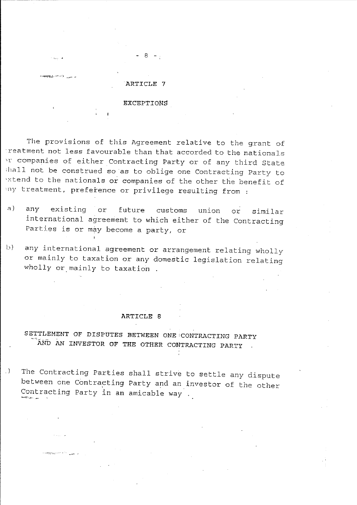

- 8 -

### EXCEPTIONS

The provisions of this Agreement relative to the grant of reatment not less favourable than that accorded to the nationals 'r companies of either Contracting Party or of any third State ;hall not be construed so as to oblige one Contracting Party to extend to the nationals or companies of the other the benefit of iny treatment, preference or privilege resulting from :

- a) any existing or future customs union or similar international agreement to which either of the Contracting Parties is or may become a party, or
- b) any international agreement or arrangement relating wholly or mainly to taxation or any domestic legislation relating wholly or mainly to taxation.

### ARTICLE 8

### SETTLEMENT OF DISPUTES BETWEEN ONE CONTRACTING PARTY AND AN INVESTOR OF THE OTHER CONTRACTING PARTY

.) The Contracting Parties shall strive to settle any dispute between one Contracting Party and an investor of the other Contracting Party in an amicable way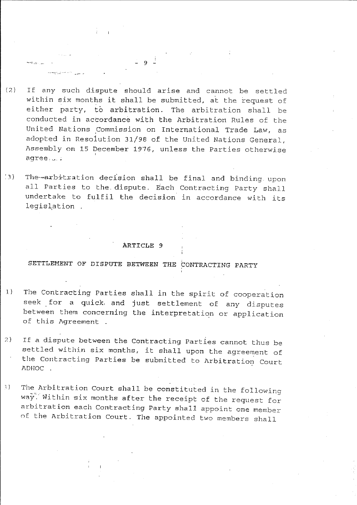(7.) If any such dispute should arise and cannot be settled within six months it shall be submitted, at the request of either party, to arbitration. The arbitration shall be conducted in accordance with the Arbitration Rules of the United Nations Commission on International Trade Law, as adopted in Resolution 31/98 of the united Nations General, Assembly on 15 December 1976, unless the Parties otherwise agree, .... ;

- 9 -

∾engel (Li

أحاد مددي ويتعطف

 $(3)$  The-arbitration decision shall be final and binding upon all Parties to the dispute. Each Contracting Party shall undertake to fulfil the decision in accordance with its legislation .

### ARTICLE 9

## SETTLEMENT OF DISPUTE BETWEEN THE CONTRACTING PARTY

- 1) The Contracting Parties shall in the spirit of cooperation seek for a quick. and just settlement of any disputes between them concerning the interpretation or application of this Agreement .
- 7.) If a dispute between the Contracting Parties cannot thus be settled within six months, it shall upon the agreement of the contracting Parties be submitted to Arbitration Court 1\DHOC .
- 1) The Arbitration Court shall be constituted in the following way. Within six months after the receipt of the request for arbitration each Contracting Party shall appoint one member of the Arbitration Court. The appointed two members shall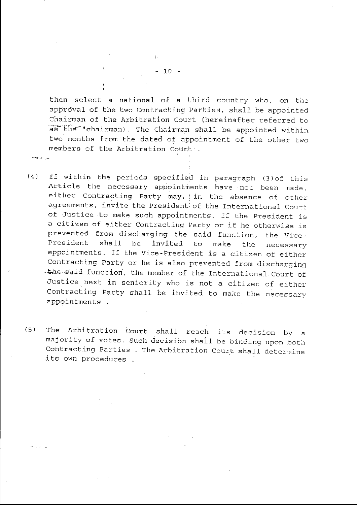then select a national of a third country who, on the approval of the two Contracting Parties, shall be appointed Chairman of the Arbitration Court (hereinafter referred to as the "chairman). The Chairman shall be appointed within two months from the dated of appointment of the other two members of the Arbitration Court .

- (4) If within the periods specifled in paragraph (3)of this Article the necessary appointments have not been made, either Contracting Party may, in the absence of other agreements, invite the President of the International Court of Justice to make such appointments. If the President is a citizen of either Contracting Party or if he otherwise is prevented from discharging the said function, the Vice-President shall be invited to make the necessary appointments. If the Vice-President is a citizen of either Contracting Party or he is also prevented from discharging ·the said function, the member of the International Court of Justice next in seniority who is not a citizen of either Contracting Party shall be invited to make the necessary appointments .
- (5) The Arbitration Court shall reach its decision by a majority of votes. Such decision shail be binding upon both Contracting Parties . The Arbitration Court shall determine its own procedures .

 $-10 -$ 

 $\sim$   $\pi$  .  $\sim$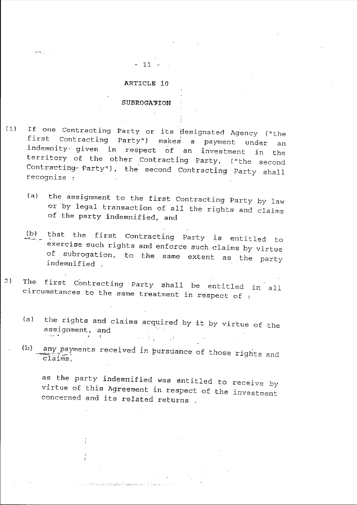# ARTICLE 10

 $-11 -$ 

### SUBROGATION

- If one Contracting Party or its designated Agency ("the  $(1)$ first Contracting Party") makes a payment under an indemnity given in respect of an investment in the territory of the other Contracting Party, ("the second Contracting-Party"), the second Contracting Party shall recognize :
	- the assignment to the first Contracting Party by law  $(a)$ or by legal transaction of all the rights and claims of the party indemnified, and
	- $(b)$ that the first Contracting Party is entitled to exercise such rights and enforce such claims by virtue of subrogation, to the same extent as the party indemnified.
- The first Contracting Party shall be entitled in all  $2)$ circumstances to the same treatment in respect of :
	- the rights and claims acquired by it by virtue of the  $(a)$ assignment, and  $\mathcal{L}^{\text{max}}_{\text{max}}$  $\sim 13\%$
	- any payments received in bursuance of those rights and  $(b)$  $\overline{\text{clains}}$ .

as the party indemnified was entitled to receive by virtue of this Agreement in respect of the investment concerned and its related returns.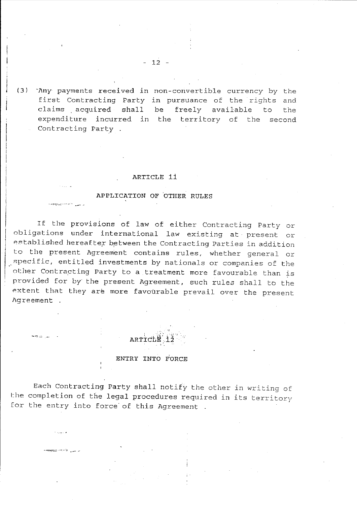(3) They payments received in non-convertible currency by the first Contracting Party in pursuance of the rights and claims acquired shall be freely available to the expenditure incurred in the territory of the second Contracting Party .

 $-12 -$ 

### ARTICLE 11

### APPLICATION OF OTHER RULES

If the provisions of law of either Contracting Party or obligations under international law existing at present or established hereafter between the Contracting Parties in addition to the present Agreement contains rules, whether general or specific, entitled investments by nationals or companies of the other Contracting Party to a treatment more favourable than is provided for by the present Agreement, such rules shall to the extent that they are more favourable prevail over the present Agreement .

ARTIC

### ENTRY INTO FORCE

الرابيب المواقعة

Each Contracting Party shall notify the other in writing of the completion of the legal procedures required in its territory for the entry into force of this Agreement .